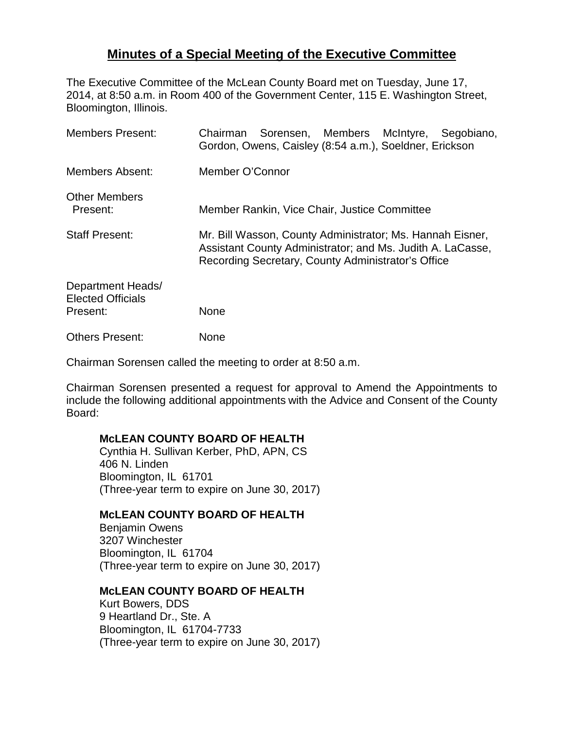## **Minutes of a Special Meeting of the Executive Committee**

The Executive Committee of the McLean County Board met on Tuesday, June 17, 2014, at 8:50 a.m. in Room 400 of the Government Center, 115 E. Washington Street, Bloomington, Illinois.

| <b>Members Present:</b>                                   | Chairman Sorensen, Members McIntyre,<br>Segobiano,<br>Gordon, Owens, Caisley (8:54 a.m.), Soeldner, Erickson                                                                  |
|-----------------------------------------------------------|-------------------------------------------------------------------------------------------------------------------------------------------------------------------------------|
| <b>Members Absent:</b>                                    | Member O'Connor                                                                                                                                                               |
| <b>Other Members</b><br>Present:                          | Member Rankin, Vice Chair, Justice Committee                                                                                                                                  |
| <b>Staff Present:</b>                                     | Mr. Bill Wasson, County Administrator; Ms. Hannah Eisner,<br>Assistant County Administrator; and Ms. Judith A. LaCasse,<br>Recording Secretary, County Administrator's Office |
| Department Heads/<br><b>Elected Officials</b><br>Present: | None                                                                                                                                                                          |
| <b>Others Present:</b>                                    | <b>None</b>                                                                                                                                                                   |

Chairman Sorensen called the meeting to order at 8:50 a.m.

Chairman Sorensen presented a request for approval to Amend the Appointments to include the following additional appointments with the Advice and Consent of the County Board:

## **McLEAN COUNTY BOARD OF HEALTH**

Cynthia H. Sullivan Kerber, PhD, APN, CS 406 N. Linden Bloomington, IL 61701 (Three-year term to expire on June 30, 2017)

## **McLEAN COUNTY BOARD OF HEALTH**

Benjamin Owens 3207 Winchester Bloomington, IL 61704 (Three-year term to expire on June 30, 2017)

## **McLEAN COUNTY BOARD OF HEALTH**

Kurt Bowers, DDS 9 Heartland Dr., Ste. A Bloomington, IL 61704-7733 (Three-year term to expire on June 30, 2017)